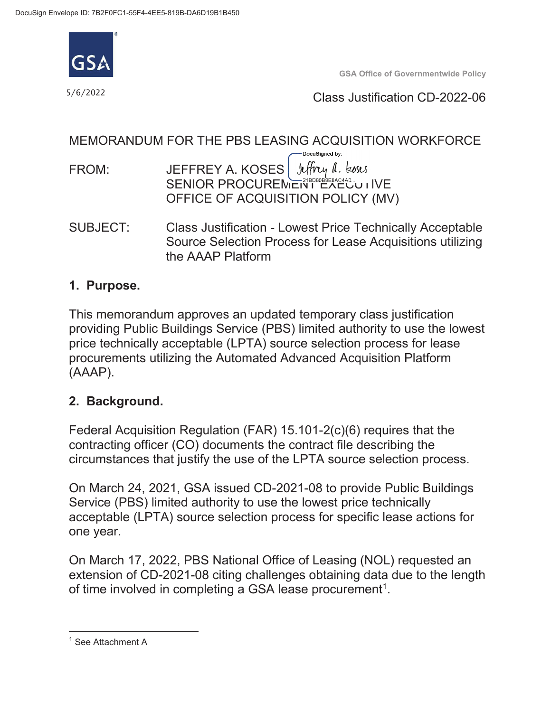

 $5/6/2022$ 

**GSA Office of Governmentwide Policy** 

Class Justification CD-2022-06

## MEMORANDUM FOR THE PBS LEASING ACQUISITION WORKFORCE

DocuSigned by: Jeffrey a. koses FROM: JEFFREY A. KOSES SENIOR PROCUREMENT EXECUTIVE OFFICE OF ACQUISITION POLICY (MV)

 SUBJECT: Class Justification - Lowest Price Technically Acceptable the AAAP Platform Source Selection Process for Lease Acquisitions utilizing

#### **1. Purpose.**

This memorandum approves an updated temporary class justification providing Public Buildings Service (PBS) limited authority to use the lowest price technically acceptable (LPTA) source selection process for lease procurements utilizing the Automated Advanced Acquisition Platform (AAAP).

## **2. Background.**

Federal Acquisition Regulation (FAR) 15.101-2(c)(6) requires that the contracting officer (CO) documents the contract file describing the circumstances that justify the use of the LPTA source selection process.

 Service (PBS) limited authority to use the lowest price technically On March 24, 2021, GSA issued CD-2021-08 to provide Public Buildings acceptable (LPTA) source selection process for specific lease actions for one year.

On March 17, 2022, PBS National Office of Leasing (NOL) requested an extension of CD-2021-08 citing challenges obtaining data due to the length of time involved in completing a GSA lease procurement<sup>1</sup>.

l

<sup>&</sup>lt;sup>1</sup> See Attachment A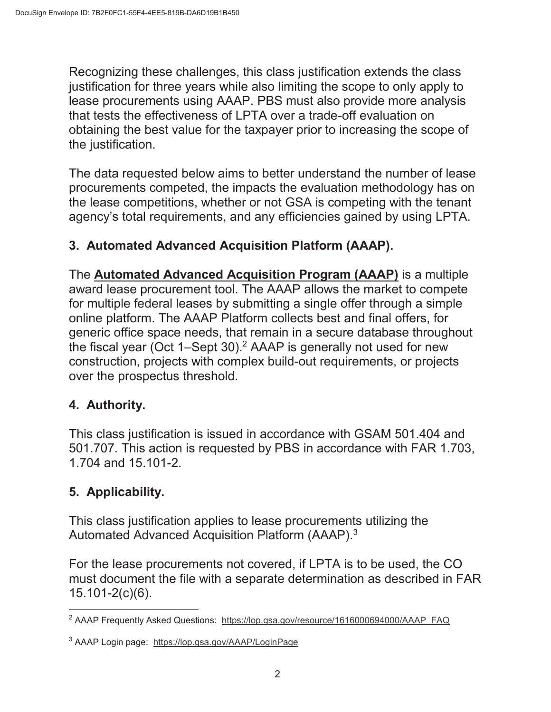obtaining the best value for the taxpayer prior to increasing the scope of Recognizing these challenges, this class justification extends the class justification for three years while also limiting the scope to only apply to lease procurements using AAAP. PBS must also provide more analysis that tests the effectiveness of LPTA over a trade-off evaluation on the justification.

 procurements competed, the impacts the evaluation methodology has on The data requested below aims to better understand the number of lease the lease competitions, whether or not GSA is competing with the tenant agency's total requirements, and any efficiencies gained by using LPTA.

# **3. Automated Advanced Acquisition Platform (AAAP).**

 generic office space needs, that remain in a secure database throughout over the prospectus threshold. The **Automated Advanced Acquisition Program (AAAP)** is a multiple award lease procurement tool. The AAAP allows the market to compete for multiple federal leases by submitting a single offer through a simple online platform. The AAAP Platform collects best and final offers, for the fiscal year (Oct 1–Sept 30).<sup>2</sup> AAAP is generally not used for new construction, projects with complex build-out requirements, or projects

## **4. Authority.**

This class justification is issued in accordance with GSAM 501.404 and 501.707. This action is requested by PBS in accordance with FAR 1.703, 1.704 and 15.101-2.

# **5. Applicability.**

Automated Advanced Acquisition Platform (AAAP). $3$ This class justification applies to lease procurements utilizing the

For the lease procurements not covered, if LPTA is to be used, the CO must document the file with a separate determination as described in FAR 15.101-2(c)(6).

 $\overline{a}$ <sup>2</sup> AAAP Frequently Asked Questions: https://lop.gsa.gov/resource/1616000694000/AAAP\_FAQ

<sup>&</sup>lt;sup>3</sup> AAAP Login page: <https://lop.gsa.gov/AAAP/LoginPage>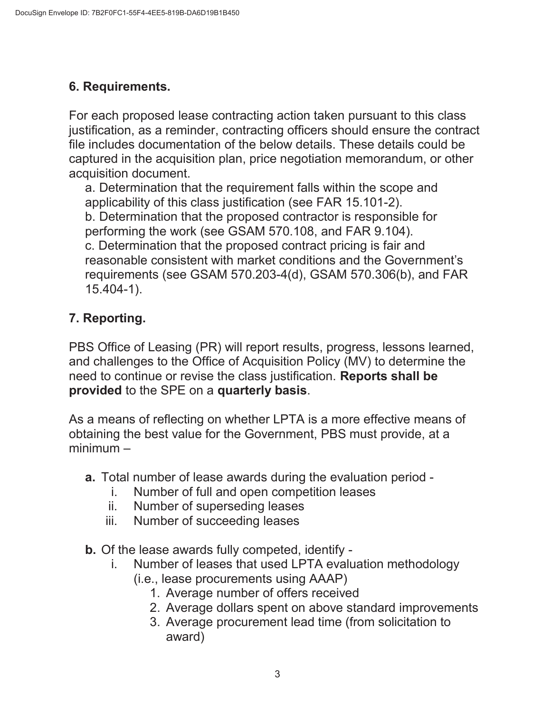## **6. Requirements.**

 For each proposed lease contracting action taken pursuant to this class captured in the acquisition plan, price negotiation memorandum, or other justification, as a reminder, contracting officers should ensure the contract file includes documentation of the below details. These details could be acquisition document.

a. Determination that the requirement falls within the scope and applicability of this class justification (see FAR 15.101-2). b. Determination that the proposed contractor is responsible for performing the work (see GSAM 570.108, and FAR 9.104). c. Determination that the proposed contract pricing is fair and reasonable consistent with market conditions and the Government's requirements (see GSAM 570.203-4(d), GSAM 570.306(b), and FAR 15.404-1).

# **7. Reporting.**

 need to continue or revise the class justification. **Reports shall be**  PBS Office of Leasing (PR) will report results, progress, lessons learned, and challenges to the Office of Acquisition Policy (MV) to determine the **provided** to the SPE on a **quarterly basis**.

As a means of reflecting on whether LPTA is a more effective means of obtaining the best value for the Government, PBS must provide, at a minimum –

- **a.** Total number of lease awards during the evaluation period
	- i. Number of full and open competition leases
	- ii. Number of superseding leases
	- iii. Number of succeeding leases
- **b.** Of the lease awards fully competed, identify
	- i. Number of leases that used LPTA evaluation methodology (i.e., lease procurements using AAAP)
		- - 1. Average number of offers received
			- 2. Average dollars spent on above standard improvements
			- 3. Average procurement lead time (from solicitation to award)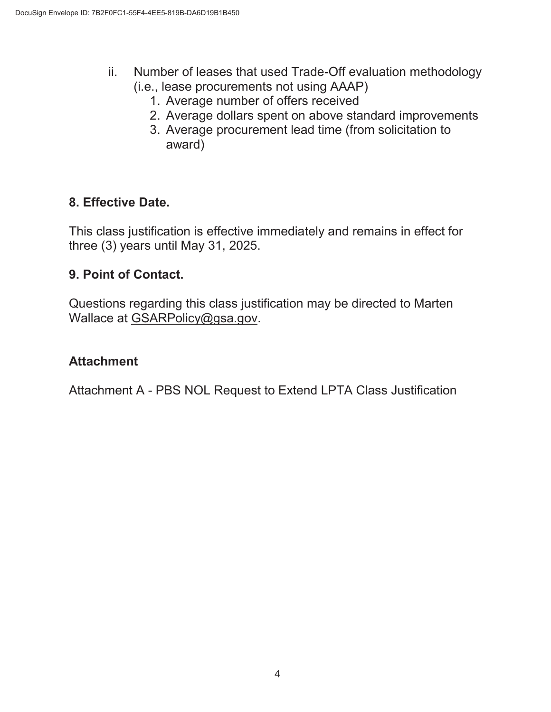- ii. Number of leases that used Trade-Off evaluation methodology (i.e., lease procurements not using AAAP)
	- 1. Average number of offers received
	- 2. Average dollars spent on above standard improvements
	- 3. Average procurement lead time (from solicitation to award)

## **8. Effective Date.**

This class justification is effective immediately and remains in effect for three (3) years until May 31, 2025.

#### **9. Point of Contact.**

Questions regarding this class justification may be directed to Marten Wallace at [GSARPolicy@gsa.gov](mailto:GSARPolicy@gsa.gov).

### **Attachment**

Attachment A - PBS NOL Request to Extend LPTA Class Justification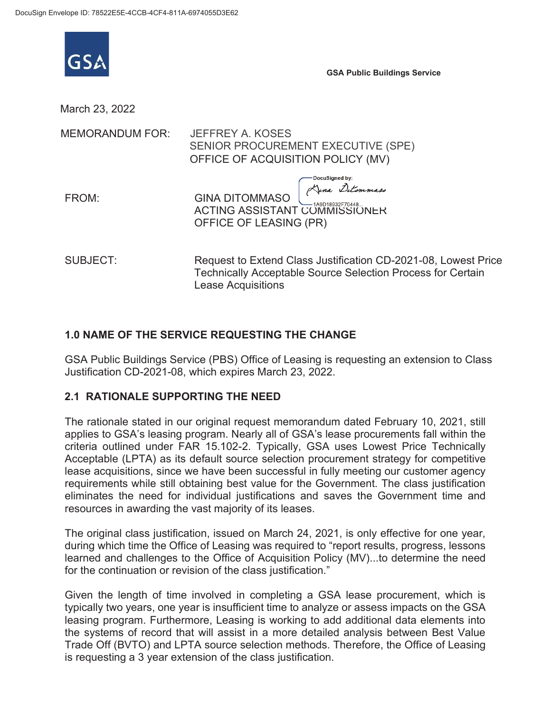

**GSA Public Buildings Service** 

March 23, 2022

| MEMORANDUM FOR: | <b>JEFFREY A. KOSES</b><br>SENIOR PROCUREMENT EXECUTIVE (SPE)<br>OFFICE OF ACQUISITION POLICY (MV)                                   |  |
|-----------------|--------------------------------------------------------------------------------------------------------------------------------------|--|
| FROM:           | $GINA DITOMMASO$<br>$GINA DITOMMASO$<br>$T=149018932570448$<br><b>ACTING ASSISTANT COMMISSIONER</b><br>OFFICE OF LEASING (PR)        |  |
| <b>SUBJECT:</b> | Request to Extend Class Justification CD-2021-08, Lowest Price<br><b>Technically Acceptable Source Selection Process for Certain</b> |  |

Lease Acquisitions

#### **1.0 NAME OF THE SERVICE REQUESTING THE CHANGE**

GSA Public Buildings Service (PBS) Office of Leasing is requesting an extension to Class Justification CD-2021-08, which expires March 23, 2022.

#### **2.1 RATIONALE SUPPORTING THE NEED**

 eliminates the need for individual justifications and saves the Government time and The rationale stated in our original request memorandum dated February 10, 2021, still applies to GSA's leasing program. Nearly all of GSA's lease procurements fall within the criteria outlined under FAR 15.102-2. Typically, GSA uses Lowest Price Technically Acceptable (LPTA) as its default source selection procurement strategy for competitive lease acquisitions, since we have been successful in fully meeting our customer agency requirements while still obtaining best value for the Government. The class justification resources in awarding the vast majority of its leases.

The original class justification, issued on March 24, 2021, is only effective for one year, during which time the Office of Leasing was required to "report results, progress, lessons learned and challenges to the Office of Acquisition Policy (MV)...to determine the need for the continuation or revision of the class justification."

Given the length of time involved in completing a GSA lease procurement, which is typically two years, one year is insufficient time to analyze or assess impacts on the GSA leasing program. Furthermore, Leasing is working to add additional data elements into the systems of record that will assist in a more detailed analysis between Best Value Trade Off (BVTO) and LPTA source selection methods. Therefore, the Office of Leasing is requesting a 3 year extension of the class justification.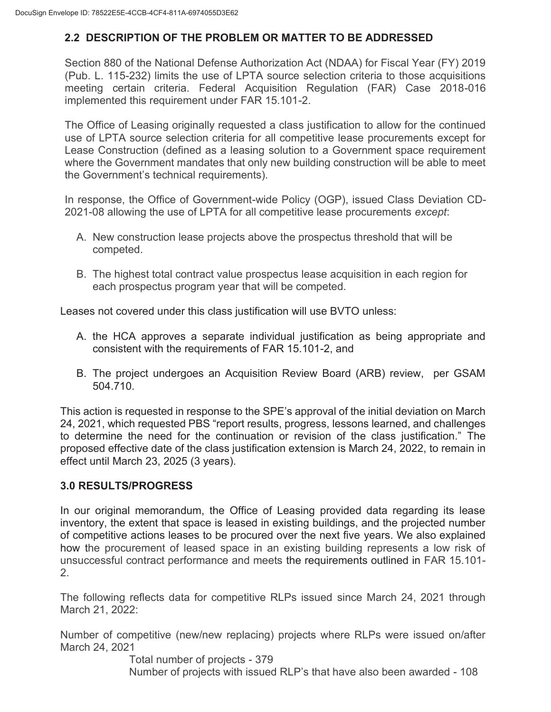#### **2.2 DESCRIPTION OF THE PROBLEM OR MATTER TO BE ADDRESSED**

Section 880 of the National Defense Authorization Act (NDAA) for Fiscal Year (FY) 2019 (Pub. L. 115-232) limits the use of LPTA source selection criteria to those acquisitions meeting certain criteria. Federal Acquisition Regulation (FAR) Case 2018-016 implemented this requirement under FAR 15.101-2.

 where the Government mandates that only new building construction will be able to meet The Office of Leasing originally requested a class justification to allow for the continued use of LPTA source selection criteria for all competitive lease procurements except for Lease Construction (defined as a leasing solution to a Government space requirement the Government's technical requirements).

In response, the Office of Government-wide Policy (OGP), issued Class Deviation CD-2021-08 allowing the use of LPTA for all competitive lease procurements *except*:

- A. New construction lease projects above the prospectus threshold that will be competed.
- B. The highest total contract value prospectus lease acquisition in each region for each prospectus program year that will be competed.

Leases not covered under this class justification will use BVTO unless:

- consistent with the requirements of FAR 15.101-2, and A. the HCA approves a separate individual justification as being appropriate and
- B. The project undergoes an Acquisition Review Board (ARB) review, per GSAM 504.710.

This action is requested in response to the SPE's approval of the initial deviation on March 24, 2021, which requested PBS "report results, progress, lessons learned, and challenges to determine the need for the continuation or revision of the class justification." The proposed effective date of the class justification extension is March 24, 2022, to remain in effect until March 23, 2025 (3 years).

#### **3.0 RESULTS/PROGRESS**

In our original memorandum, the Office of Leasing provided data regarding its lease inventory, the extent that space is leased in existing buildings, and the projected number of competitive actions leases to be procured over the next five years. We also explained how the procurement of leased space in an existing building represents a low risk of unsuccessful contract performance and meets the requirements outlined in FAR 15.101- 2.

The following reflects data for competitive RLPs issued since March 24, 2021 through March 21, 2022:

Number of competitive (new/new replacing) projects where RLPs were issued on/after March 24, 2021

> Total number of projects - 379 Number of projects with issued RLP's that have also been awarded - 108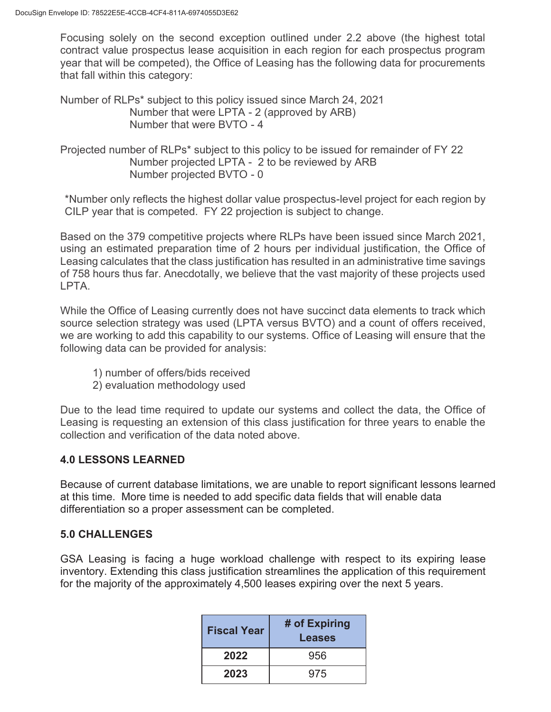Focusing solely on the second exception outlined under 2.2 above (the highest total contract value prospectus lease acquisition in each region for each prospectus program year that will be competed), the Office of Leasing has the following data for procurements that fall within this category:

Number of RLPs\* subject to this policy issued since March 24, 2021 Number that were LPTA - 2 (approved by ARB) Number that were BVTO - 4

 Projected number of RLPs\* subject to this policy to be issued for remainder of FY 22 Number projected LPTA - 2 to be reviewed by ARB Number projected BVTO - 0

 \*Number only reflects the highest dollar value prospectus-level project for each region by CILP year that is competed. FY 22 projection is subject to change.

 of 758 hours thus far. Anecdotally, we believe that the vast majority of these projects used Based on the 379 competitive projects where RLPs have been issued since March 2021, using an estimated preparation time of 2 hours per individual justification, the Office of Leasing calculates that the class justification has resulted in an administrative time savings LPTA.

While the Office of Leasing currently does not have succinct data elements to track which source selection strategy was used (LPTA versus BVTO) and a count of offers received, we are working to add this capability to our systems. Office of Leasing will ensure that the following data can be provided for analysis:

- 1) number of offers/bids received
- 2) evaluation methodology used

 collection and verification of the data noted above. Due to the lead time required to update our systems and collect the data, the Office of Leasing is requesting an extension of this class justification for three years to enable the

#### **4.0 LESSONS LEARNED**

Because of current database limitations, we are unable to report significant lessons learned at this time. More time is needed to add specific data fields that will enable data differentiation so a proper assessment can be completed.

#### **5.0 CHALLENGES**

GSA Leasing is facing a huge workload challenge with respect to its expiring lease inventory. Extending this class justification streamlines the application of this requirement for the majority of the approximately 4,500 leases expiring over the next 5 years.

| <b>Fiscal Year</b> | # of Expiring<br>Leases |
|--------------------|-------------------------|
| 2022               | 956                     |
| 2023               | 975                     |